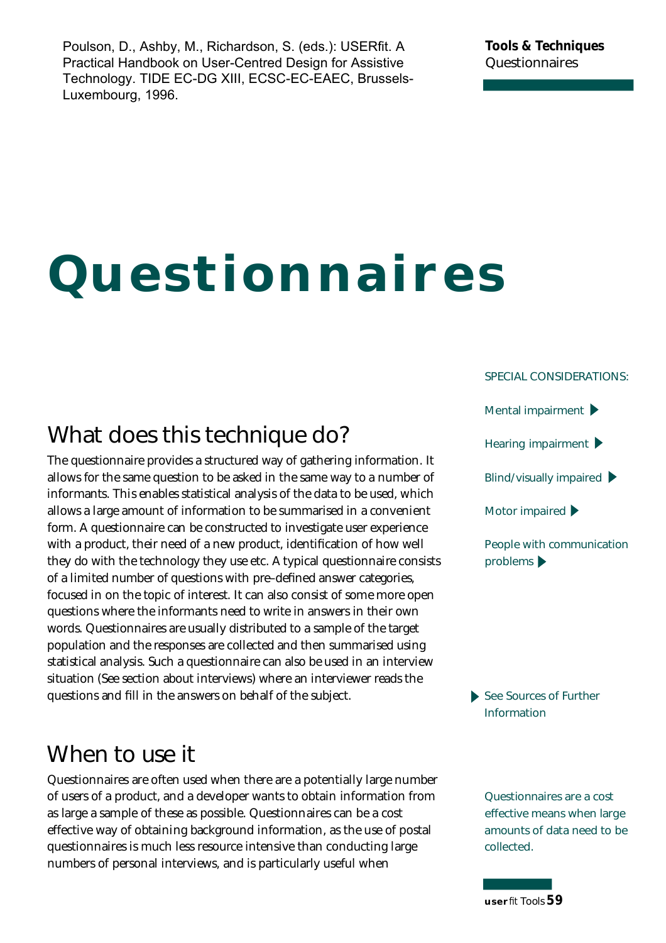Poulson, D., Ashby, M., Richardson, S. (eds.): USERfit. A Practical Handbook on User-Centred Design for Assistive Technology. TIDE EC-DG XIII, ECSC-EC-EAEC, Brussels-Luxembourg, 1996.

# **Questionnaires**

### **SPECIAL CONSIDERATIONS:**

**What does this technique do?**

The questionnaire provides a structured way of gathering information. It allows for the same question to be asked in the same way to a number of informants. This enables statistical analysis of the data to be used, which allows a large amount of information to be summarised in a convenient form. A questionnaire can be constructed to investigate user experience with a product, their need of a new product, identification of how well they do with the technology they use etc. A typical questionnaire consists of a limited number of questions with pre-defined answer categories, focused in on the topic of interest. It can also consist of some more open questions where the informants need to write in answers in their own words. Questionnaires are usually distributed to a sample of the target population and the responses are collected and then summarised using statistical analysis. Such a questionnaire can also be used in an interview situation (See section about interviews) where an interviewer reads the questions and fill in the answers on behalf of the subject.

## **When to use it**

Questionnaires are often used when there are a potentially large number of users of a product, and a developer wants to obtain information from as large a sample of these as possible. Questionnaires can be a cost effective way of obtaining background information, as the use of postal questionnaires is much less resource intensive than conducting large numbers of personal interviews, and is particularly useful when



**See Sources of Further Information** 

> **Questionnaires are a cost effective means when large amounts of data need to be** collected.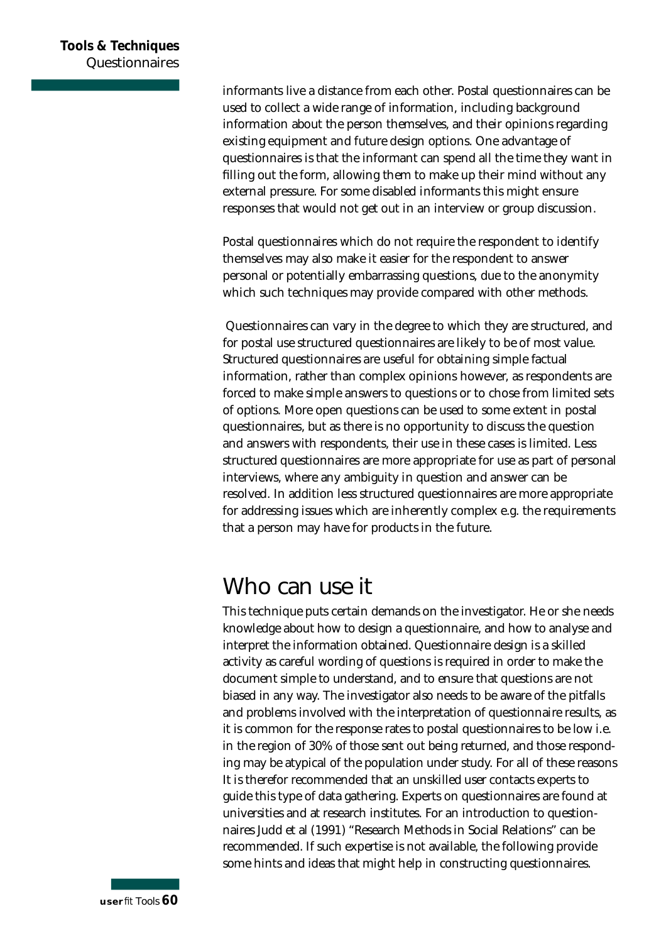informants live a distance from each other. Postal questionnaires can be used to collect a wide range of information, including background information about the person themselves, and their opinions regarding existing equipment and future design options. One advantage of questionnaires is that the informant can spend all the time they want in filling out the form, allowing them to make up their mind without any external pressure. For some disabled informants this might ensure responses that would not get out in an interview or group discussion.

Postal questionnaires which do not require the respondent to identify themselves may also make it easier for the respondent to answer personal or potentially embarrassing questions, due to the anonymity which such techniques may provide compared with other methods.

Questionnaires can vary in the degree to which they are structured, and for postal use structured questionnaires are likely to be of most value. Structured questionnaires are useful for obtaining simple factual information, rather than complex opinions however, as respondents are forced to make simple answers to questions or to chose from limited sets of options. More open questions can be used to some extent in postal questionnaires, but as there is no opportunity to discuss the question and answers with respondents, their use in these cases is limited. Less structured questionnaires are more appropriate for use as part of personal interviews, where any ambiguity in question and answer can be resolved. In addition less structured questionnaires are more appropriate for addressing issues which are inherently complex e.g. the requirements that a person may have for products in the future.

# **Who can use it**

This technique puts certain demands on the investigator. He or she needs knowledge about how to design a questionnaire, and how to analyse and interpret the information obtained. Questionnaire design is a skilled activity as careful wording of questions is required in order to make the document simple to understand, and to ensure that questions are not biased in any way. The investigator also needs to be aware of the pitfalls and problems involved with the interpretation of questionnaire results, as it is common for the response rates to postal questionnaires to be low i.e. in the region of 30% of those sent out being returned, and those responding may be atypical of the population under study. For all of these reasons It is therefor recommended that an unskilled user contacts experts to guide this type of data gathering. Experts on questionnaires are found at universities and at research institutes. For an introduction to questionnaires Judd et al (1991) "Research Methods in Social Relations" can be recommended. If such expertise is not available, the following provide some hints and ideas that might help in constructing questionnaires.

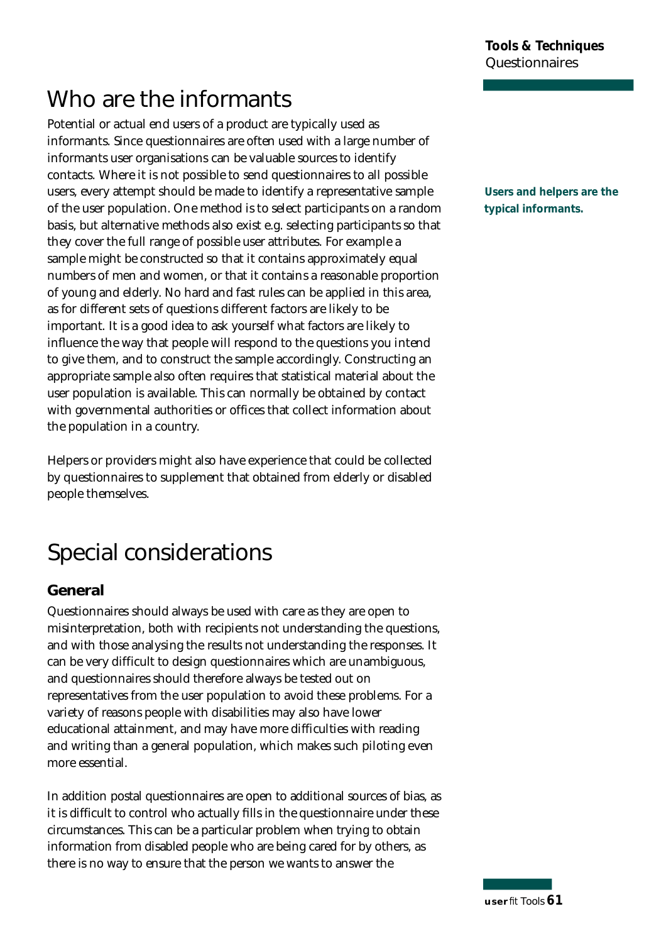# **Who are the informants**

Potential or actual end users of a product are typically used as informants. Since questionnaires are often used with a large number of informants user organisations can be valuable sources to identify contacts. Where it is not possible to send questionnaires to all possible users, every attempt should be made to identify a representative sample of the user population. One method is to select participants on a random basis, but alternative methods also exist e.g. selecting participants so that they cover the full range of possible user attributes. For example a sample might be constructed so that it contains approximately equal numbers of men and women, or that it contains a reasonable proportion of young and elderly. No hard and fast rules can be applied in this area, as for different sets of questions different factors are likely to be important. It is a good idea to ask yourself what factors are likely to in fluence the way that people will respond to the questions you intend to give them, and to construct the sample accordingly. Constructing an appropriate sample also often requires that statistical material about the user population is available. This can normally be obtained by contact with governmental authorities or offices that collect information about the population in a country.

Helpers or providers might also have experience that could be collected by questionnaires to supplement that obtained from elderly or disabled people themselves.

# **Special considerations**

#### **General**

Questionnaires should always be used with care as they are open to misinterpretation, both with recipients not understanding the questions, and with those analysing the results not understanding the responses. It can be very difficult to design questionnaires which are unambiguous, and questionnaires should therefore always be tested out on representatives from the user population to avoid these problems. For a variety of reasons people with disabilities may also have lower educational attainment, and may have more difficulties with reading and writing than a general population, which makes such piloting even more essential.

In addition postal questionnaires are open to additional sources of bias, as it is difficult to control who actually fills in the questionnaire under these circumstances. This can be a particular problem when trying to obtain information from disabled people who are being cared for by others, as there is no way to ensure that the person we wants to answer the

**Users and helpers are the typical informants.**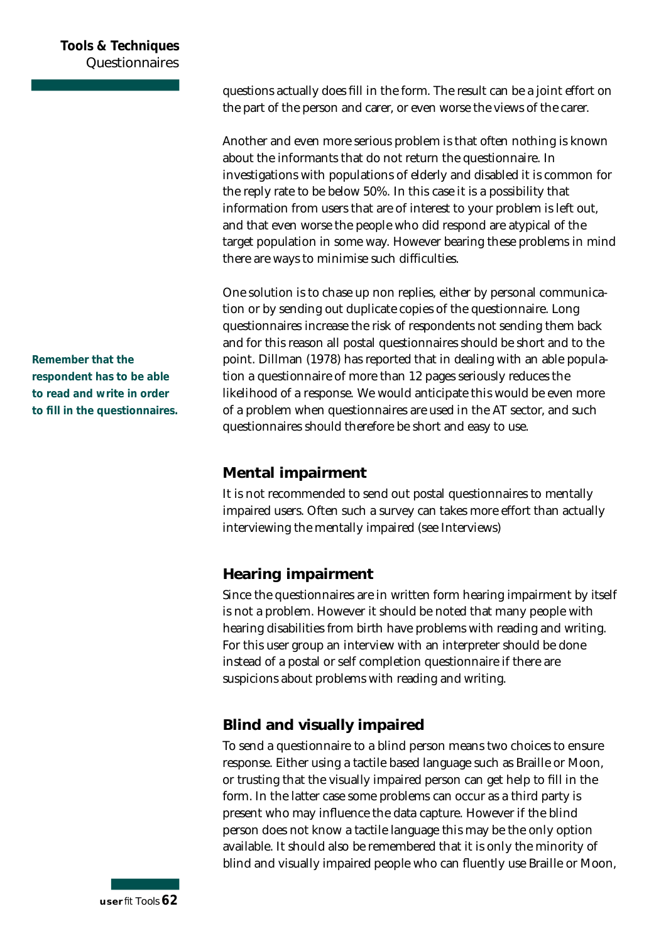questions actually does fill in the form. The result can be a joint effort on the part of the person and carer, or even worse the views of the carer.

Another and even more serious problem is that often nothing is known about the informants that do not return the questionnaire. In investigations with populations of elderly and disabled it is common for the reply rate to be below 50%. In this case it is a possibility that information from users that are of interest to your problem is left out, and that even worse the people who did respond are atypical of the target population in some way. However bearing these problems in mind there are ways to minimise such difficulties.

One solution is to chase up non replies, either by personal communication or by sending out duplicate copies of the questionnaire. Long questionnaires increase the risk of respondents not sending them back and for this reason all postal questionnaires should be short and to the point. Dillman (1978) has reported that in dealing with an able population a questionnaire of more than 12 pages seriously reduces the likelihood of a response. We would anticipate this would be even more of a problem when questionnaires are used in the AT sector, and such questionnaires should therefore be short and easy to use.

#### **Mental impairment**

It is not recommended to send out postal questionnaires to mentally impaired users. Often such a survey can takes more effort than actually interviewing the mentally impaired (see Interviews)

#### **Hearing impairment**

Since the questionnaires are in written form hearing impairment by itself is not a problem. However it should be noted that many people with hearing disabilities from birth have problems with reading and writing. For this user group an interview with an interpreter should be done instead of a postal or self completion questionnaire if there are suspicions about problems with reading and writing.

#### **Blind and visually impaired**

To send a questionnaire to a blind person means two choices to ensure response. Either using a tactile based language such as Braille or Moon, or trusting that the visually impaired person can get help to fill in the form. In the latter case some problems can occur as a third party is present who may influence the data capture. However if the blind person does not know a tactile language this may be the only option available. It should also be remembered that it is only the minority of blind and visually impaired people who can fluently use Braille or Moon,

**Remember that the respondent has to be able to read and write in order to fill in the questionnaires.**

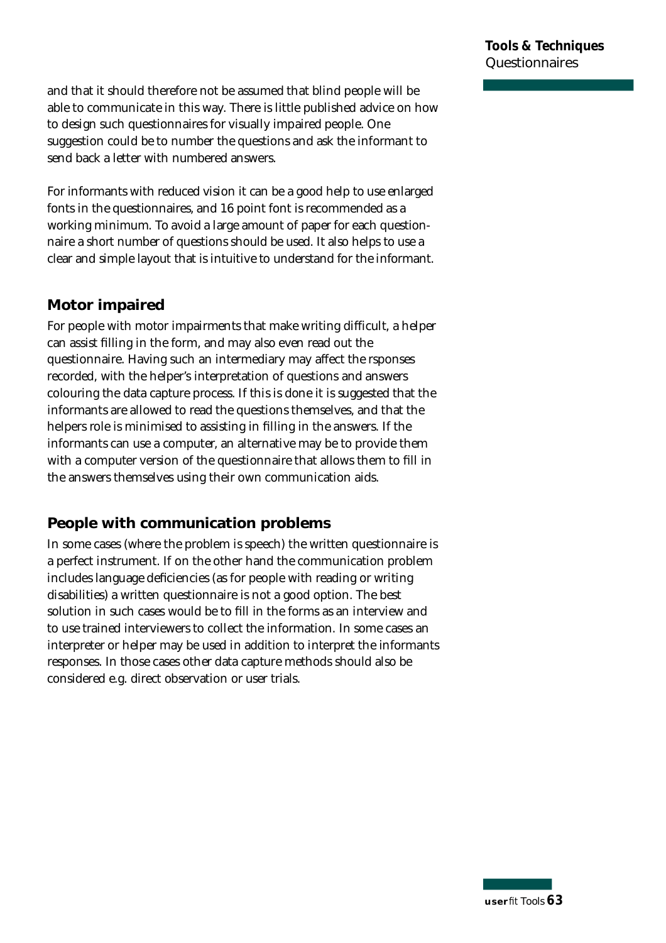and that it should therefore not be assumed that blind people will be able to communicate in this way. There is little published advice on how to design such questionnaires for visually impaired people. One suggestion could be to number the questions and ask the informant to send back a letter with numbered answers.

For informants with reduced vision it can be a good help to use enlarged fonts in the questionnaires, and 16 point font is recommended as a working minimum. To avoid a large amount of paper for each questionnaire a short number of questions should be used. It also helps to use a clear and simple layout that is intuitive to understand for the informant.

#### **Motor impaired**

For people with motor impairments that make writing difficult, a helper can assist filling in the form, and may also even read out the questionnaire. Having such an intermediary may affect the rsponses recorded, with the helper's interpretation of questions and answers colouring the data capture process. If this is done it is suggested that the informants are allowed to read the questions themselves, and that the helpers role is minimised to assisting in filling in the answers. If the informants can use a computer, an alternative may be to provide them with a computer version of the questionnaire that allows them to fill in the answers themselves using their own communication aids.

#### **People with communication problems**

In some cases (where the problem is speech) the written questionnaire is a perfect instrument. If on the other hand the communication problem includes language deficiencies (as for people with reading or writing disabilities) a written questionnaire is not a good option. The best solution in such cases would be to fill in the forms as an interview and to use trained interviewers to collect the information. In some cases an interpreter or helper may be used in addition to interpret the informants responses. In those cases other data capture methods should also be considered e.g. direct observation or user trials.

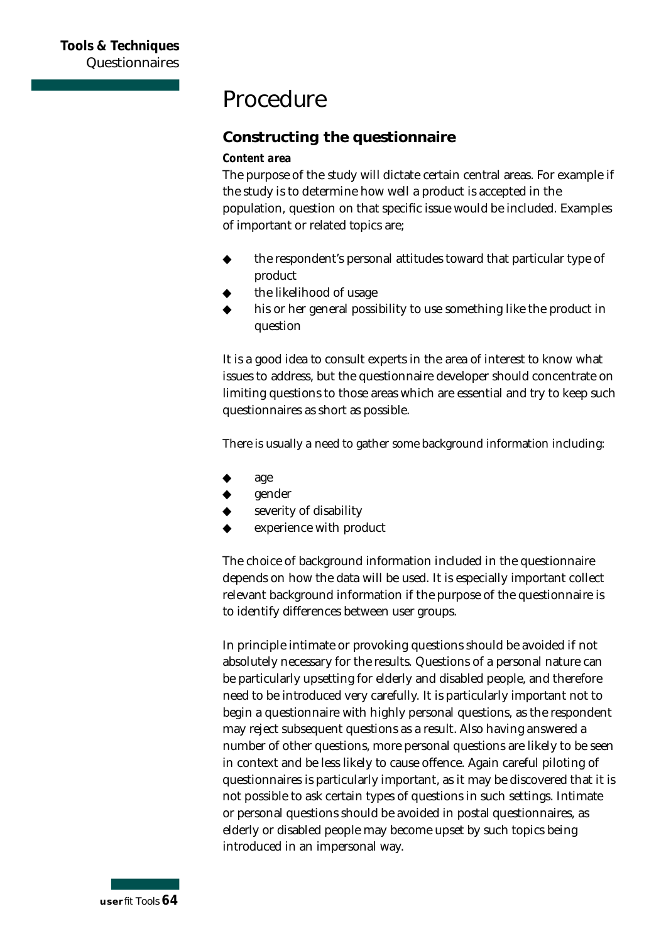## **Procedure**

#### **Constructing the questionnaire**

#### *Content area*

The purpose of the study will dictate certain central areas. For example if the study is to determine how well a product is accepted in the population, question on that specific issue would be included. Examples of important or related topics are ;

- $\bullet$  the respondent's personal attitudes toward that particular type of product
- the likelihood of usage
- his or her general possibility to use something like the product in question

It is a good idea to consult experts in the area of interest to know what issues to address, but the questionnaire developer should concentrate on limiting questions to those areas which are essential and try to keep such questionnaires as short as possible.

There is usually a need to gather some background information including:

- age
- gender
- severity of disability
- experience with product

The choice of background information included in the questionnaire depends on how the data will be used. It is especially important collect relevant background information if the purpose of the questionnaire is to identify differences between user groups.

In principle intimate or provoking questions should be avoided if not absolutely necessary for the results. Questions of a personal nature can be particularly upsetting for elderly and disabled people, and therefore need to be introduced very carefully. It is particularly important not to begin a questionnaire with highly personal questions, as the respondent may reject subsequent questions as a result. Also having answered a number of other questions, more personal questions are likely to be seen in context and be less likely to cause offence. Again careful piloting of questionnaires is particularly important, as it may be discovered that it is not possible to ask certain types of questions in such settings. Intimate or personal questions should be avoided in postal questionnaires, as elderly or disabled people may become upset by such topics being introduced in an impersonal way.

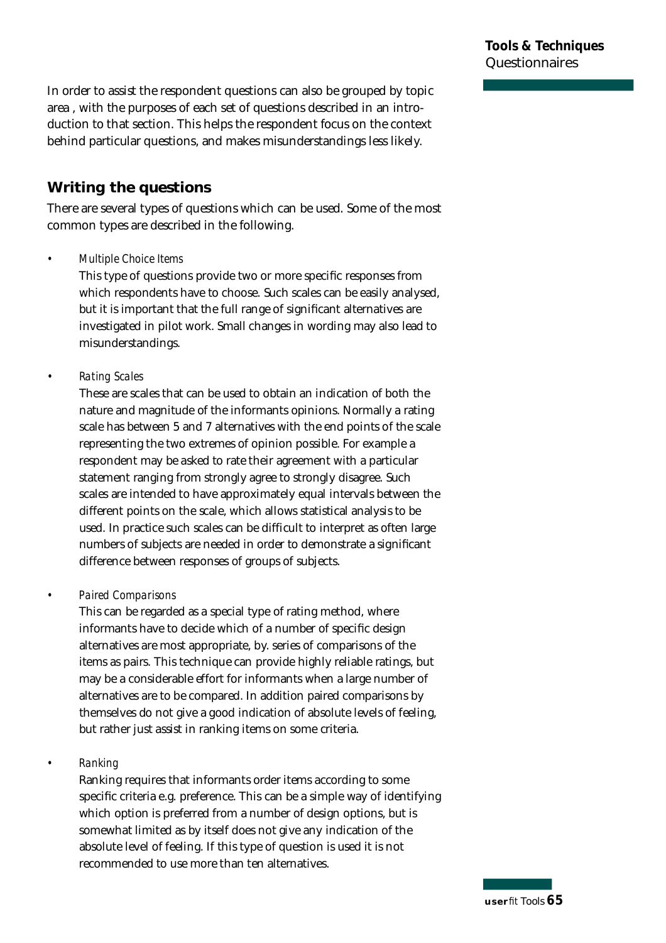In order to assist the respondent questions can also be grouped by topic area , with the purposes of each set of questions described in an introduction to that section. This helps the respondent focus on the context behind particular questions, and makes misunderstandings less likely.

#### **Writing the questions**

There are several types of questions which can be used. Some of the most common types are described in the following.

#### *• Multiple Choice Items*

This type of questions provide two or more specific responses from which respondents have to choose. Such scales can be easily analysed, but it is important that the full range of significant alternatives are investigated in pilot work. Small changes in wording may also lead to mis understandings.

#### *• Rating Scales*

These are scales that can be used to obtain an indication of both the nature and magnitude of the informants opinions. Normally a rating scale has between 5 and 7 alternatives with the end points of the scale representing the two extremes of opinion possible. For example a respondent may be asked to rate their agreement with a particular statement ranging from strongly agree to strongly disagree. Such scales are intended to have approximately equal intervals between the different points on the scale, which allows statistical analysis to be used. In practice such scales can be difficult to interpret as often large numbers of subjects are needed in order to demonstrate a significant difference between responses of groups of subjects.

#### *• P a i red Comparisons*

This can be regarded as a special type of rating method, where informants have to decide which of a number of specific design alternatives are most appropriate, by. series of comparisons of the items as pairs. This technique can provide highly reliable ratings, but may be a considerable effort for informants when a large number of alternatives are to be compared. In addition paired comparisons by themselves do not give a good indication of absolute levels of feeling, but rather just assist in ranking items on some criteria.

#### • **Ranking**

Ranking requires that informants order items according to some specific criteria e.g. preference. This can be a simple way of identifying which option is preferred from a number of design options, but is somewhat limited as by itself does not give any indication of the absolute level of feeling. If this type of question is used it is not recommended to use more than ten alternatives.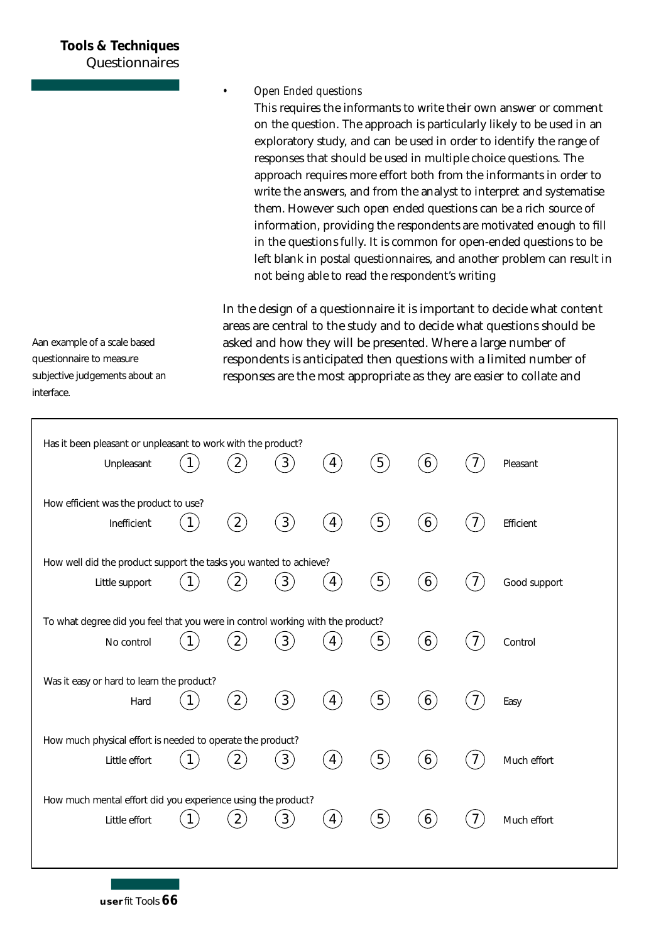#### **Tools & Techniques Questionnaires**

#### *• Open Ended questions*

This requires the informants to write their own answer or comment on the question. The approach is particularly likely to be used in an exploratory study, and can be used in order to identify the range of responses that should be used in multiple choice questions. The approach requires more effort both from the informants in order to write the answers, and from the analyst to interpret and systematise them. However such open ended questions can be a rich source of information, providing the respondents are motivated enough to fill in the questions fully. It is common for open-ended questions to be left blank in postal questionnaires, and another problem can result in not being able to read the respondent's writing

In the design of a questionnaire it is important to decide what content areas are central to the study and to decide what questions should be asked and how they will be presented. Where a large number of respondents is anticipated then questions with a limited number of responses are the most appropriate as they are easier to collate and

| Has it been pleasant or unpleasant to work with the product?<br>Unpleasant                   |              | $2^{1}$           | $\left(3\right)$ | $\left( 4\right)$      | (5)              | $6 \right)$      |                | Pleasant     |
|----------------------------------------------------------------------------------------------|--------------|-------------------|------------------|------------------------|------------------|------------------|----------------|--------------|
| How efficient was the product to use?<br>Inefficient                                         | $\mathbf{1}$ | (2)               | $\left(3\right)$ | $\left( 4\right)$      | (5)              | $\left[6\right)$ | $7^{\circ}$    | Efficient    |
| How well did the product support the tasks you wanted to achieve?<br>Little support          | $\mathbf{1}$ | $\overline{2}$    | $\left(3\right)$ | $\overline{4}$         | (5)              | $\left(6\right)$ |                | Good support |
| To what degree did you feel that you were in control working with the product?<br>No control |              | $\overline{2}$    | $3^{\degree}$    |                        | 5 <sup>2</sup>   | $6 \overline{6}$ |                | Control      |
| Was it easy or hard to learn the product?<br>Hard                                            | $\mathbf{1}$ | $\left( 2\right)$ | $\left(3\right)$ | $\left 4\right\rangle$ | (5)              | $\left(6\right)$ |                | Easy         |
| How much physical effort is needed to operate the product?<br>Little effort                  |              |                   | 3 <sup>1</sup>   | 4                      | $\left[5\right)$ | 6                | $\overline{7}$ | Much effort  |
| How much mental effort did you experience using the product?<br>Little effort                |              |                   | 3                | 4                      | $\sqrt{5}$       | 6                |                | Much effort  |

Aan example of a scale based questionnaire to measure subjective judgements about an interface.

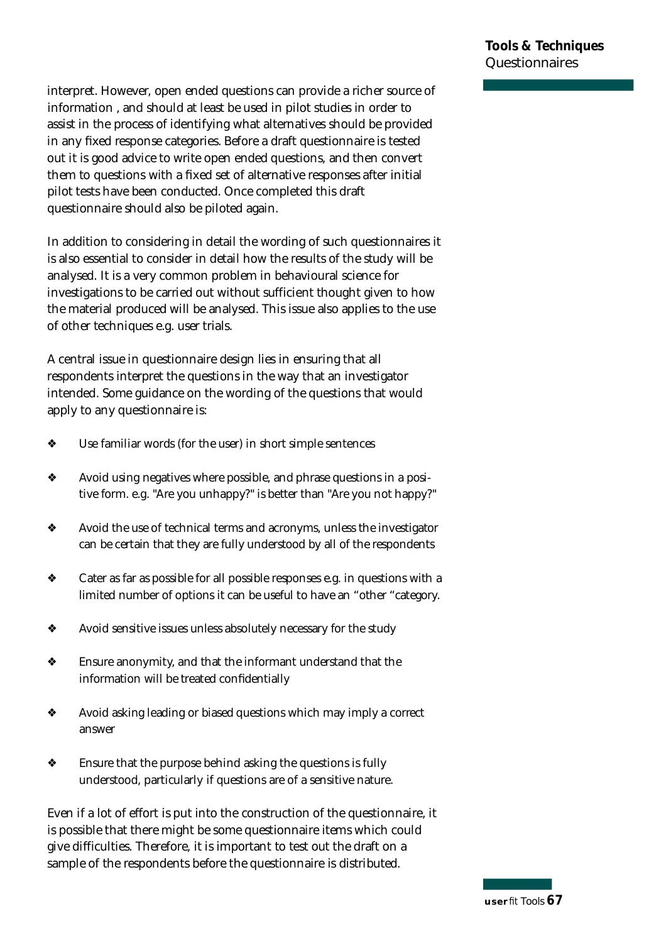interpret. However, open ended questions can provide a richer source of information , and should at least be used in pilot studies in order to assist in the process of identifying what alternatives should be provided in any fixed response categories. Before a draft questionnaire is tested out it is good advice to write open ended questions, and then convert them to questions with a fixed set of alternative responses after initial pilot tests have been conducted. Once completed this draft questionnaire should also be piloted again.

In addition to considering in detail the wording of such questionnaires it is also essential to consider in detail how the results of the study will be analysed. It is a very common problem in behavioural science for investigations to be carried out without sufficient thought given to how the material produced will be analysed. This issue also applies to the use of other techniques e.g. user trials.

A central issue in questionnaire design lies in ensuring that all respondents interpret the questions in the way that an investigator intended. Some guidance on the wording of the questions that would apply to any questionnaire is:

- ❖ Use familiar wo rds (for the user) in short simple sentences
- ❖ Avoid using negatives where possible, and phrase questions in a positive form. e.g. "Are you unhappy?" is better than "Are you not happy?"
- ❖ Avoid the use of technical terms and acronyms, unless the investigator can be certain that they are fully understood by all of the respondents
- ❖ Cater as far as possible for all possible responses e.g. in questions with a limited number of options it can be useful to have an "other "category.
- ❖ Avoid sensitive issues unless absolutely necessary for the study
- $\bullet$  Ensure anonymity, and that the informant understand that the information will be treated confidentially
- ❖ Avoid asking leading or biased questions which may imply a correct answer
- $\bullet$  Ensure that the purpose behind asking the questions is fully understood, particularly if questions are of a sensitive nature.

Even if a lot of effort is put into the construction of the questionnaire, it is possible that there might be some questionnaire items which could give difficulties. Therefore, it is important to test out the draft on a sample of the respondents before the questionnaire is distributed.

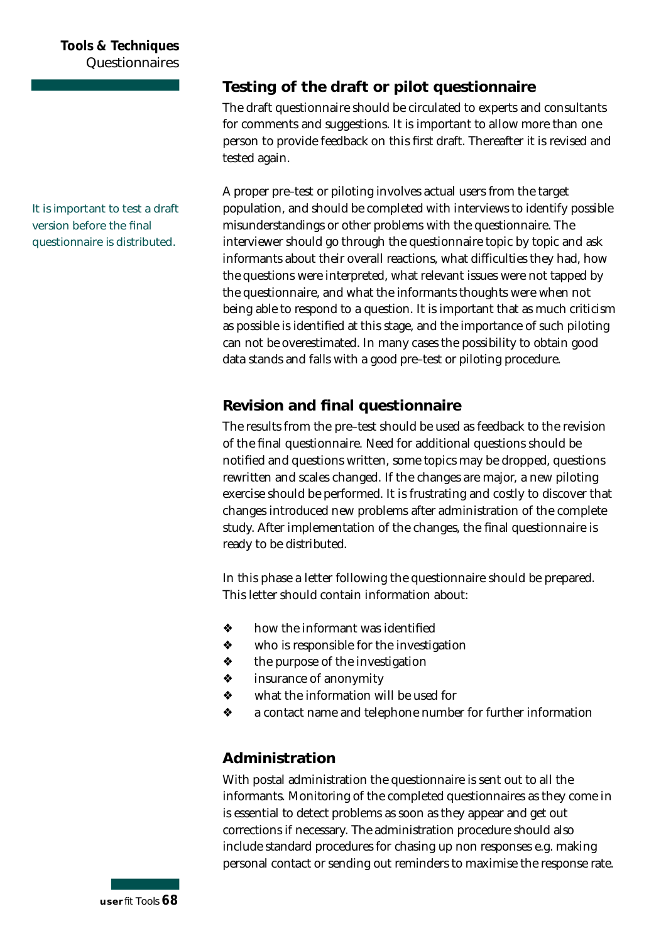#### **Tools & Techniques Questionnaires**

#### **Testing of the draft or pilot questionnaire**

The draft questionnaire should be circulated to experts and consultants for comments and suggestions. It is important to allow more than one person to provide feedback on this first draft. Thereafter it is revised and tested again.

A proper pre-test or piloting involves actual users from the target population, and should be completed with interviews to identify possible misunderstandings or other problems with the questionnaire. The interviewer should go through the questionnaire topic by topic and ask informants about their overall reactions, what difficulties they had, how the questions were interpreted, what relevant issues were not tapped by the questionnaire, and what the informants thoughts were when not being able to respond to a question. It is important that as much criticism as possible is identified at this stage, and the importance of such piloting can not be overestimated. In many cases the possibility to obtain good data stands and falls with a good pre-test or piloting procedure.

#### **Revision and final questionnaire**

The results from the pre-test should be used as feedback to the revision of the final questionnaire. Need for additional questions should be notified and questions written, some topics may be dropped, questions rewritten and scales changed. If the changes are major, a new piloting exercise should be performed. It is frustrating and costly to discover that changes introduced new problems after administration of the complete study. After implementation of the changes, the final questionnaire is ready to be distributed.

In this phase a letter following the questionnaire should be prepared. This letter should contain information about:

- $\div$  how the informant was identified
- ❖ who is responsible for the investigation
- ❖ the purpose of the investigation
- ❖ insurance of anonymity
- ❖ what the information will be used for
- $\bullet$  a contact name and telephone number for further information

#### **Administration**

With postal administration the questionnaire is sent out to all the informants. Monitoring of the completed questionnaires as they come in is essential to detect problems as soon as they appear and get out corrections if necessary. The administration procedure should also include standard procedures for chasing up non responses e.g. making personal contact or sending out reminders to maximise the response rate.

**It is important to test a draft version before the final questionnaire is distributed.**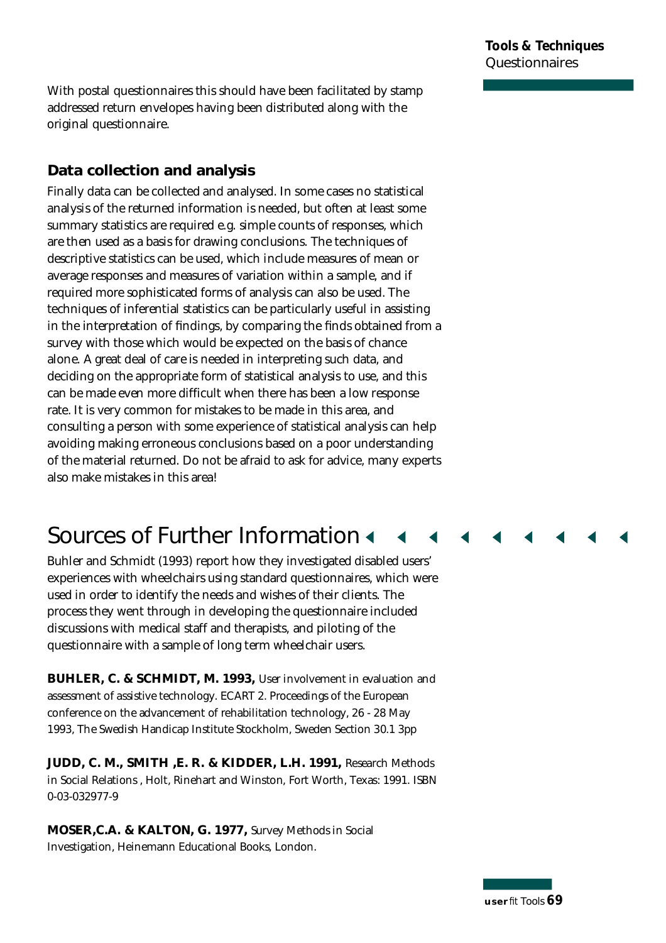With postal questionnaires this should have been facilitated by stamp ad dressed return envelopes having been distributed along with the original questionnaire.

#### **Data collection and analysis**

Finally data can be collected and analysed. In some cases no statistical analysis of the returned information is needed, but often at least some summary statistics are required e.g. simple counts of responses, which are then used as a basis for drawing conclusions. The techniques of descriptive statistics can be used, which include measures of mean or average responses and measures of variation within a sample, and if required more sophisticated forms of analysis can also be used. The techniques of inferential statistics can be particularly useful in assisting in the interpretation of findings, by comparing the finds obtained from a survey with those which would be expected on the basis of chance alone. A great deal of care is needed in interpreting such data, and deciding on the appropriate form of statistical analysis to use, and this can be made even more difficult when there has been a low response rate. It is very common for mistakes to be made in this area, and consulting a person with some experience of statistical analysis can help avoiding making erroneous conclusions based on a poor understanding of the material returned. Do not be afraid to ask for advice, many experts also make mistakes in this area!

# **Sources of Further Information 4**

Buhler and Schmidt (1993) report how they investigated disabled users' experiences with wheelchairs using standard questionnaires, which were used in order to identify the needs and wishes of their clients. The p rocess they went through in developing the questionnaire included discussions with medical staff and therapists, and piloting of the questionnaire with a sample of long term wheelchair users.

**BUHLER, C. & SCHMIDT, M. 1993,** User involvement in evaluation and assessment of assistive technology. ECART 2. Proceedings of the European conference on the advancement of rehabilitation technology, 26 - 28 May 1993, The Swedish Handicap Institute Stockholm, Sweden Section 30.1 3pp

**JUDD, C. M., SMITH ,E. R. & KIDDER, L.H. 1991,** Research Methods in Social Relations , Holt, Rinehart and Winston, Fort Worth, Texas: 1991. ISBN 0-03-032977-9

**MOSER,C.A. & KALTON, G. 1977,** Survey Methods in Social Investigation, Heinemann Educational Books, London.